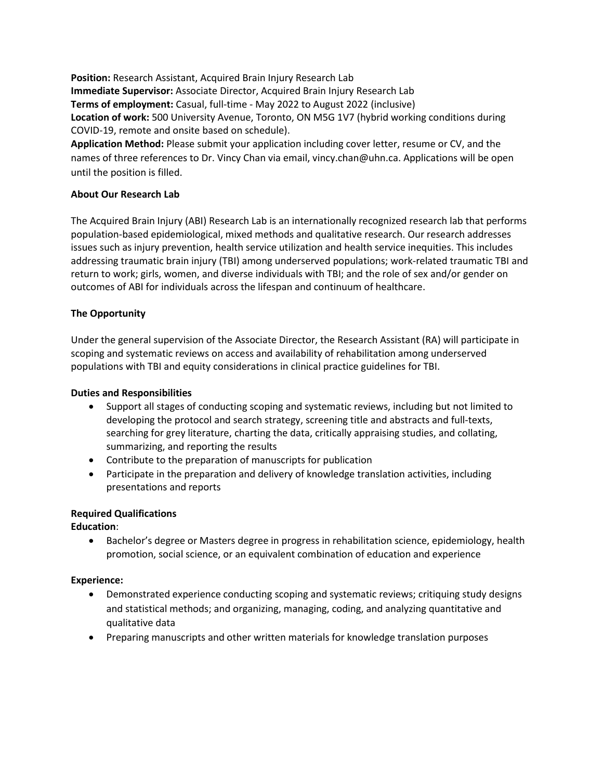**Position:** Research Assistant, Acquired Brain Injury Research Lab **Immediate Supervisor:** Associate Director, Acquired Brain Injury Research Lab **Terms of employment:** Casual, full-time - May 2022 to August 2022 (inclusive) **Location of work:** 500 University Avenue, Toronto, ON M5G 1V7 (hybrid working conditions during COVID-19, remote and onsite based on schedule).

**Application Method:** Please submit your application including cover letter, resume or CV, and the names of three references to Dr. Vincy Chan via email, vincy.chan@uhn.ca. Applications will be open until the position is filled.

# **About Our Research Lab**

The Acquired Brain Injury (ABI) Research Lab is an internationally recognized research lab that performs population-based epidemiological, mixed methods and qualitative research. Our research addresses issues such as injury prevention, health service utilization and health service inequities. This includes addressing traumatic brain injury (TBI) among underserved populations; work-related traumatic TBI and return to work; girls, women, and diverse individuals with TBI; and the role of sex and/or gender on outcomes of ABI for individuals across the lifespan and continuum of healthcare.

## **The Opportunity**

Under the general supervision of the Associate Director, the Research Assistant (RA) will participate in scoping and systematic reviews on access and availability of rehabilitation among underserved populations with TBI and equity considerations in clinical practice guidelines for TBI.

### **Duties and Responsibilities**

- Support all stages of conducting scoping and systematic reviews, including but not limited to developing the protocol and search strategy, screening title and abstracts and full-texts, searching for grey literature, charting the data, critically appraising studies, and collating, summarizing, and reporting the results
- Contribute to the preparation of manuscripts for publication
- Participate in the preparation and delivery of knowledge translation activities, including presentations and reports

### **Required Qualifications**

**Education**:

• Bachelor's degree or Masters degree in progress in rehabilitation science, epidemiology, health promotion, social science, or an equivalent combination of education and experience

### **Experience:**

- Demonstrated experience conducting scoping and systematic reviews; critiquing study designs and statistical methods; and organizing, managing, coding, and analyzing quantitative and qualitative data
- Preparing manuscripts and other written materials for knowledge translation purposes